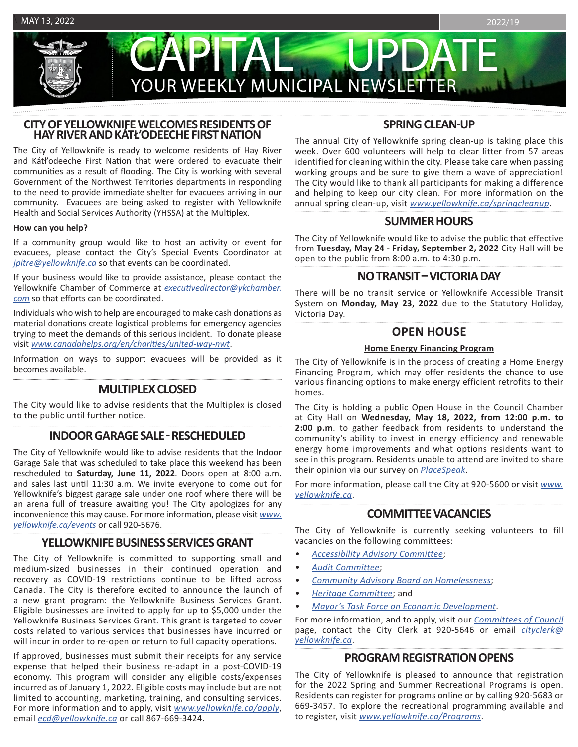CAPITAL UPDATE YOUR WEEKLY MUNICIPAL NEWSLETTER

# **CITY OF YELLOWKNIFE WELCOMES RESIDENTS OF HAY RIVER AND KÁTŁ'ODEECHE FIRST NATION**

The City of Yellowknife is ready to welcome residents of Hay River and Kátł'odeeche First Nation that were ordered to evacuate their communities as a result of flooding. The City is working with several Government of the Northwest Territories departments in responding to the need to provide immediate shelter for evacuees arriving in our community. Evacuees are being asked to register with Yellowknife Health and Social Services Authority (YHSSA) at the Multiplex.

#### **How can you help?**

If a community group would like to host an activity or event for evacuees, please contact the City's Special Events Coordinator at *[jpitre@yellowknife.ca](mailto:jpitre%40yellowknife.ca?subject=)* so that events can be coordinated.

If your business would like to provide assistance, please contact the Yellowknife Chamber of Commerce at *[executivedirector@ykchamber.](mailto:executivedirector%40ykchamber.com?subject=) [com](mailto:executivedirector%40ykchamber.com?subject=)* so that efforts can be coordinated.

Individuals who wish to help are encouraged to make cash donations as material donations create logistical problems for emergency agencies trying to meet the demands of this serious incident. To donate please visit *[www.canadahelps.org/en/charities/united-way-nwt](http://www.canadahelps.org/en/charities/united-way-nwt.)*.

Information on ways to support evacuees will be provided as it becomes available.

# **MULTIPLEX CLOSED**

The City would like to advise residents that the Multiplex is closed to the public until further notice.

# **INDOOR GARAGE SALE - RESCHEDULED**

The City of Yellowknife would like to advise residents that the Indoor Garage Sale that was scheduled to take place this weekend has been rescheduled to **Saturday, June 11, 2022**. Doors open at 8:00 a.m. and sales last until 11:30 a.m. We invite everyone to come out for Yellowknife's biggest garage sale under one roof where there will be an arena full of treasure awaiting you! The City apologizes for any inconvenience this may cause. For more information, please visit *[www.](http://www.yellowknife.ca/events) [yellowknife.ca/events](http://www.yellowknife.ca/events)* or call 920-5676.

# **YELLOWKNIFE BUSINESS SERVICES GRANT**

The City of Yellowknife is committed to supporting small and medium-sized businesses in their continued operation and recovery as COVID-19 restrictions continue to be lifted across Canada. The City is therefore excited to announce the launch of a new grant program: the Yellowknife Business Services Grant. Eligible businesses are invited to apply for up to \$5,000 under the Yellowknife Business Services Grant. This grant is targeted to cover costs related to various services that businesses have incurred or will incur in order to re-open or return to full capacity operations.

If approved, businesses must submit their receipts for any service expense that helped their business re-adapt in a post-COVID-19 economy. This program will consider any eligible costs/expenses incurred as of January 1, 2022. Eligible costs may include but are not limited to accounting, marketing, training, and consulting services. For more information and to apply, visit *[www.yellowknife.ca/apply](http://www.yellowknife.ca/apply)*, email *[ecd@yellowknife.ca](mailto:ecd%40yellowknife.ca?subject=)* or call 867-669-3424.

# **SPRING CLEAN-UP**

The annual City of Yellowknife spring clean-up is taking place this week. Over 600 volunteers will help to clear litter from 57 areas identified for cleaning within the city. Please take care when passing working groups and be sure to give them a wave of appreciation! The City would like to thank all participants for making a difference and helping to keep our city clean. For more information on the annual spring clean-up, visit *[www.yellowknife.ca/springcleanup](http://www.yellowknife.ca/springcleanup)*.

## **SUMMER HOURS**

The City of Yellowknife would like to advise the public that effective from **Tuesday, May 24 - Friday, September 2, 2022** City Hall will be open to the public from 8:00 a.m. to 4:30 p.m.

# **NO TRANSIT – VICTORIA DAY**

There will be no transit service or Yellowknife Accessible Transit System on **Monday, May 23, 2022** due to the Statutory Holiday, Victoria Day.

# **OPEN HOUSE**

#### **Home Energy Financing Program**

The City of Yellowknife is in the process of creating a Home Energy Financing Program, which may offer residents the chance to use various financing options to make energy efficient retrofits to their homes.

The City is holding a public Open House in the Council Chamber at City Hall on **Wednesday, May 18, 2022, from 12:00 p.m. to 2:00 p.m**. to gather feedback from residents to understand the community's ability to invest in energy efficiency and renewable energy home improvements and what options residents want to see in this program. Residents unable to attend are invited to share their opinion via our survey on *[PlaceSpeak](https://www.placespeak.com/en/topic/6651-home-energy-financing-program-design/#/)*.

For more information, please call the City at 920-5600 or visit *[www.](http://www.yellowknife.ca) [yellowknife.ca](http://www.yellowknife.ca)*.

# **COMMITTEE VACANCIES**

The City of Yellowknife is currently seeking volunteers to fill vacancies on the following committees:

- *• [Accessibility Advisory Committee](https://www.yellowknife.ca/en/city-government/committees-of-council.aspx#Accessibility-Advisory-Committee)*;
- *• [Audit Committee](https://www.yellowknife.ca/en/city-government/committees-of-council.aspx#Audit-Committee)*;
- *• [Community Advisory Board on Homelessness](https://www.yellowknife.ca/en/city-government/committees-of-council.aspx#Community-Advisory-Board-on-Homelessness)*;
- *• [Heritage Committee](https://www.yellowknife.ca/en/city-government/committees-of-council.aspx#Heritage-Committee)*; and
- *• [Mayor's Task Force on Economic Development](https://www.yellowknife.ca/en/city-government/committees-of-council.aspx#Mayors-Task-Force-on-Economic-Development)*.

For more information, and to apply, visit our *[Committees of Council](https://www.yellowknife.ca/en/city-government/committees-of-council.aspx)* page, contact the City Clerk at 920-5646 or email *[cityclerk@](mailto:cityclerk%40yellowknife.ca?subject=) [yellowknife.ca](mailto:cityclerk%40yellowknife.ca?subject=)*.

# **PROGRAM REGISTRATION OPENS**

The City of Yellowknife is pleased to announce that registration for the 2022 Spring and Summer Recreational Programs is open. Residents can register for programs online or by calling 920-5683 or 669-3457. To explore the recreational programming available and to register, visit *www.yellowknife.ca/Programs*.